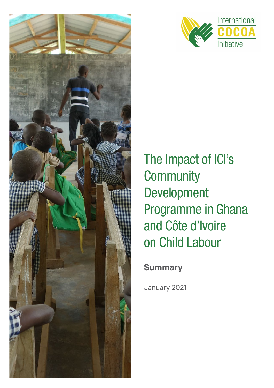



# The Impact of ICI's **Community** Development Programme in Ghana and Côte d'Ivoire on Child Labour

# **Summary**

January 2021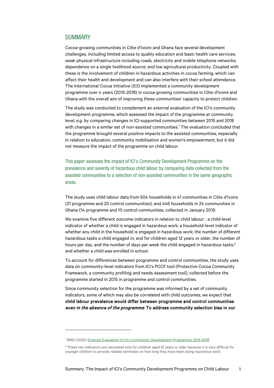## **SUMMARY**

Cocoa-growing communities in Côte d'Ivoire and Ghana face several development challenges, including limited access to quality education and basic health care services; weak physical infrastructure including roads, electricity and mobile telephone networks; dependence on a single livelihood source; and low agricultural productivity. Coupled with these is the involvement of children in hazardous activities in cocoa farming, which can affect their health and development and can also interfere with their school attendance. The International Cocoa Initiative (ICI) implemented a community development programme over 4 years (2015-2018) in cocoa-growing communities in Côte d'Ivoire and Ghana with the overall aim of improving these communities' capacity to protect children.

The study was conducted to complement an external evaluation of the ICI's community development programme, which assessed the impact of the programme at community level, e.g. by comparing changes in ICI-supported communities between 2015 and 2018 with changes in a similar set of non-assisted communities.<sup>[1](#page-1-0)</sup> The evaluation concluded that the programme brought several positive impacts to the assisted communities, especially in relation to education, community mobilisation and women's empowerment, but it did not measure the impact of the programme on child labour.

This paper assesses the impact of ICI's Community Development Programme on the prevalence and severity of hazardous child labour by comparing data collected from the assisted communities to a selection of non-assisted communities in the same geographic areas.

The study uses child labour data from 504 households in 41 communities in Côte d'Ivoire (21 programme and 20 control communities), and 446 households in 24 communities in Ghana (14 programme and 10 control communities, collected in January 2019.

We examine five different outcome indicators in relation to child labour: : a child-level indicator of whether a child is engaged in hazardous work; a household-level indicator of whether any child in the household is engaged in hazardous work; the number of different hazardous tasks a child engaged in; and for children aged 12 years or older, the number of hours per day, and the number of days per week the child engaged in hazardous tasks; $<sup>2</sup>$  $<sup>2</sup>$  $<sup>2</sup>$ </sup> and whether a child was enrolled in school.

To account for differences between programme and control communities, the study uses data on community-level indicators from ICI's PCCF tool (Protective Cocoa Community Framework, a community profiling and needs assessment tool), collected before the programme started in 2015 in programme and control communities.

Since community selection for the programme was informed by a set of community indicators, some of which may also be correlated with child outcomes, we expect that child labour prevalence would differ between programme and control communities even in the absence of the programme. To address community selection bias in our

<span id="page-1-0"></span><sup>&</sup>lt;sup>1</sup> BIRD (2020) [External Evaluation of ICI's Community Development Programme, 2015-2018](https://cocoainitiative.org/wp-content/uploads/2020/05/ICI_External-evaluation-of-community-development-programme_report_EN.pdf)

<span id="page-1-1"></span><sup>&</sup>lt;sup>2</sup> These two indicators are calculated only for children aged 12 years or older because it is very difficult for younger children to provide reliable estimates on how long they have been doing hazardous work.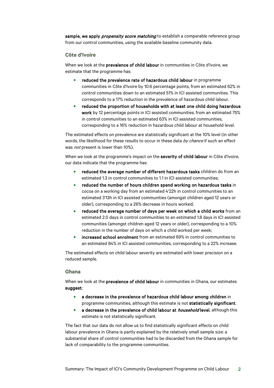sample, we apply *propensity score matching* to establish a comparable reference group from our control communities, using the available baseline community data.

#### **Côte d'Ivoire**

When we look at the prevalence of child labour in communities in Côte d'Ivoire, we estimate that the programme has:

- reduced the prevalence rate of hazardous child labour in programme communities in Côte d'Ivoire by 10.6 percentage points, from an estimated 62% in control communities down to an estimated 51% in ICI assisted communities. This corresponds to a 17% reduction in the prevalence of hazardous child labour.
- reduced the proportion of households with at least one child doing hazardous work by 12 percentage points in ICI assisted communities, from an estimated 75% in control communities to an estimated 63% in ICI assisted communities, corresponding to a 16% reduction in hazardous child labour at household level.

The estimated effects on prevalence are statistically significant at the 10% level (in other words, the likelihood for these results to occur in these data by chance if such an effect was *not* present is lower than 10%).

When we look at the programme's impact on the severity of child labour in Côte d'Ivoire, our data indicate that the programme has:

- reduced the average number of different hazardous tasks children do from an estimated 1.3 in control communities to 1.1 in ICI assisted communities;
- reduced the number of hours children spend working on hazardous tasks in cocoa on a working day from an estimated 4'22h in control communities to an estimated 3'13h in ICI assisted communities (amongst children aged 12 years or older), corresponding to a 26% decrease in hours worked;
- reduced the average number of days per week on which a child works from an estimated 2.0 days in control communities to an estimated 1.8 days in ICI assisted communities (amongst children aged 12 years or older), corresponding to a 10% reduction in the number of days on which a child worked per week;
- increased school enrolment from an estimated 69% in control communities to an estimated 84% in ICI assisted communities, corresponding to a 22% increase.

The estimated effects on child labour severity are estimated with lower precision on a reduced sample.

### **Ghana**

When we look at the **prevalence of child labour** in communities in Ghana, our estimates suggest:

- a decrease in the prevalence of hazardous child labour among children in programme communities, although this estimate is not statistically significant.
- a decrease in the prevalence of child labour at *household* level, although this estimate is not statistically significant.

The fact that our data do not allow us to find statistically significant effects on child labour prevalence in Ghana is partly explained by the relatively small sample size: a substantial share of control communities had to be discarded from the Ghana sample for lack of comparability to the programme communities.